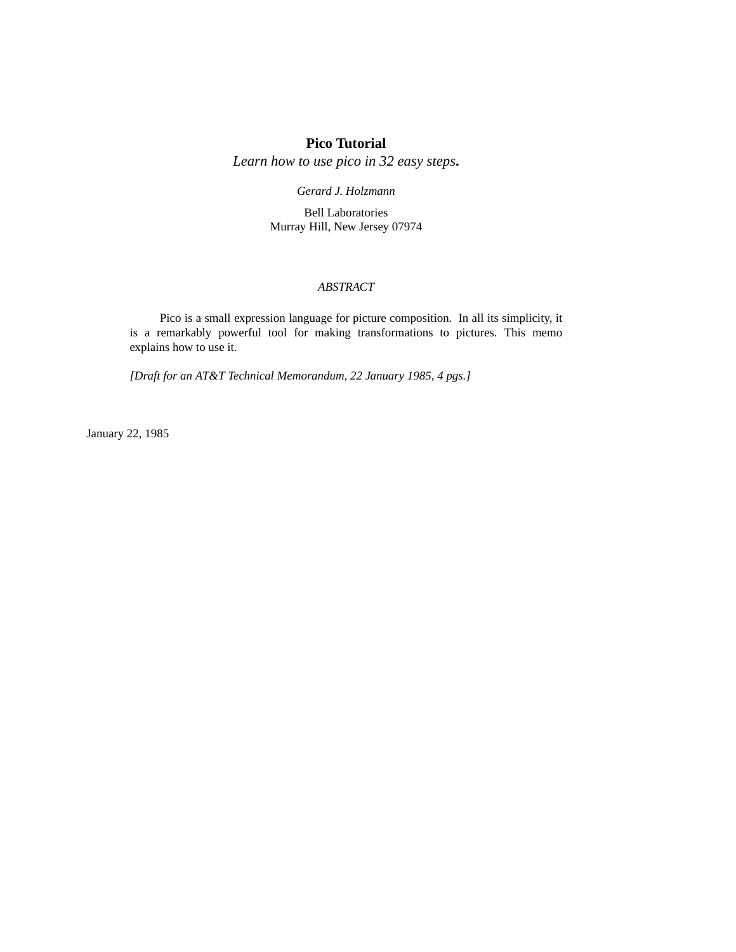# **Pico Tutorial**

*Learn how to use pico in 32 easy steps***.**

*Gerard J. Holzmann*

Bell Laboratories Murray Hill, New Jersey 07974

# *ABSTRACT*

Pico is a small expression language for picture composition. In all its simplicity, it is a remarkably powerful tool for making transformations to pictures. This memo explains how to use it.

*[Draft for an AT&T Technical Memorandum, 22 January 1985, 4 pgs.]*

January 22, 1985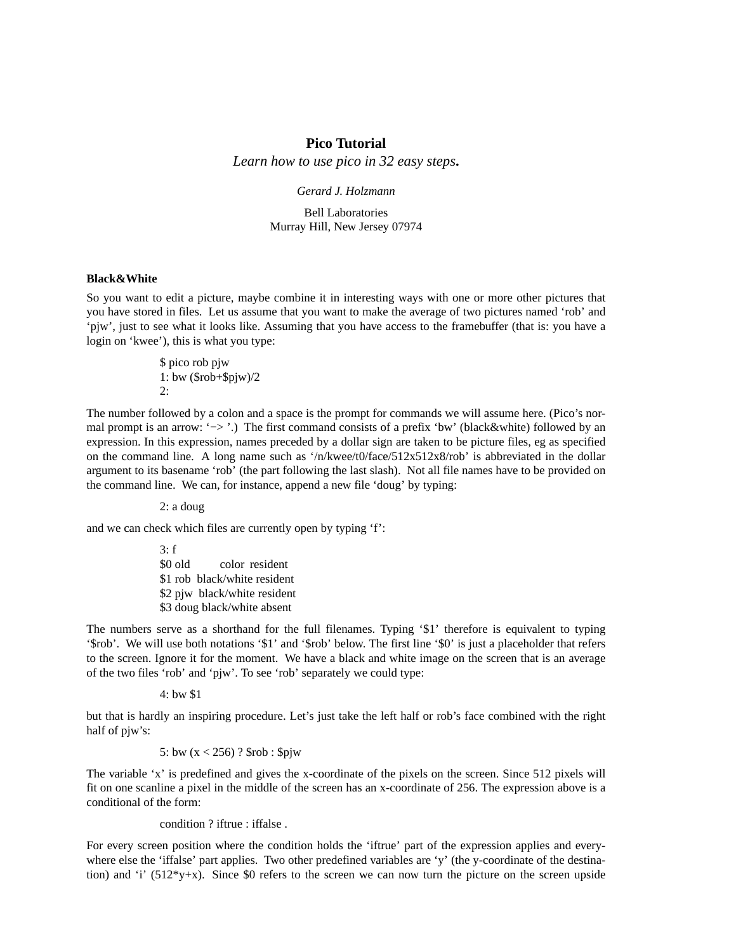## **Pico Tutorial**

*Learn how to use pico in 32 easy steps***.**

*Gerard J. Holzmann*

Bell Laboratories Murray Hill, New Jersey 07974

#### **Black&White**

So you want to edit a picture, maybe combine it in interesting ways with one or more other pictures that you have stored in files. Let us assume that you want to make the average of two pictures named 'rob' and 'pjw', just to see what it looks like. Assuming that you have access to the framebuffer (that is: you have a login on 'kwee'), this is what you type:

> \$ pico rob pjw 1: bw (\$rob+\$pjw)/2  $2$ .

The number followed by a colon and a space is the prompt for commands we will assume here. (Pico's normal prompt is an arrow: '−> '.) The first command consists of a prefix 'bw' (black&white) followed by an expression. In this expression, names preceded by a dollar sign are taken to be picture files, eg as specified on the command line. A long name such as '/n/kwee/t0/face/512x512x8/rob' is abbreviated in the dollar argument to its basename 'rob' (the part following the last slash). Not all file names have to be provided on the command line. We can, for instance, append a new file 'doug' by typing:

2: a doug

and we can check which files are currently open by typing 'f':

 $3: f$ \$0 old color resident \$1 rob black/white resident \$2 pjw black/white resident \$3 doug black/white absent

The numbers serve as a shorthand for the full filenames. Typing '\$1' therefore is equivalent to typing '\$rob'. We will use both notations '\$1' and '\$rob' below. The first line '\$0' is just a placeholder that refers to the screen. Ignore it for the moment. We have a black and white image on the screen that is an average of the two files 'rob' and 'pjw'. To see 'rob' separately we could type:

4: bw \$1

but that is hardly an inspiring procedure. Let's just take the left half or rob's face combined with the right half of pjw's:

5: bw (x < 256) ? \$rob : \$pjw

The variable 'x' is predefined and gives the x-coordinate of the pixels on the screen. Since 512 pixels will fit on one scanline a pixel in the middle of the screen has an x-coordinate of 256. The expression above is a conditional of the form:

condition ? iftrue : iffalse .

For every screen position where the condition holds the 'iftrue' part of the expression applies and everywhere else the 'iffalse' part applies. Two other predefined variables are 'y' (the y-coordinate of the destination) and 'i'  $(512*y+x)$ . Since \$0 refers to the screen we can now turn the picture on the screen upside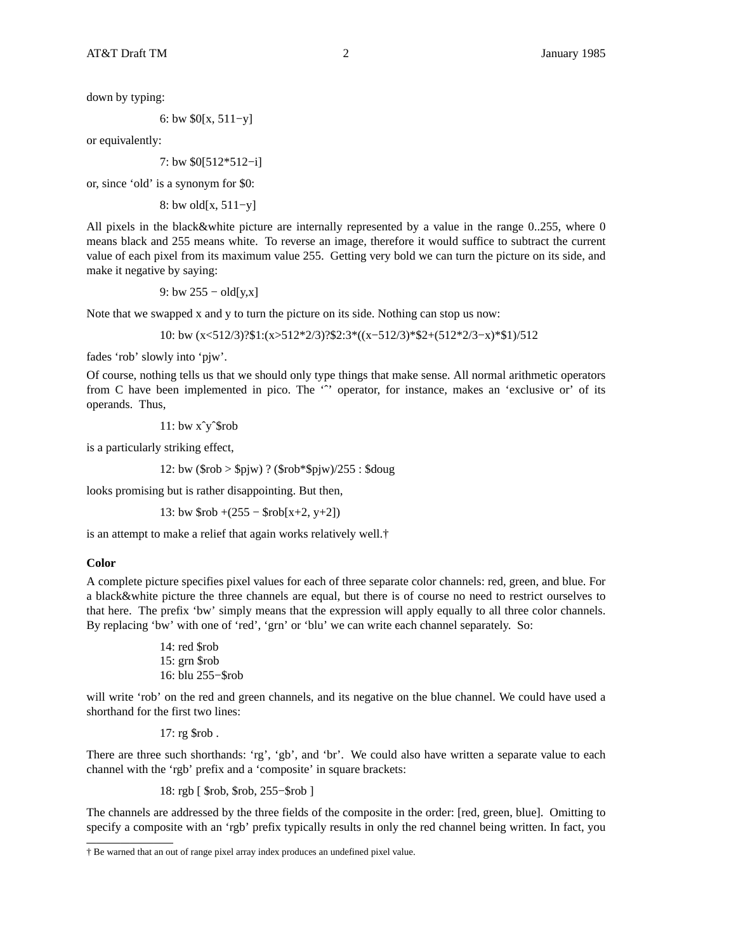6: bw \$0[x, 511−y]

or equivalently:

7: bw \$0[512\*512−i]

or, since 'old' is a synonym for \$0:

8: bw old[x, 511−y]

All pixels in the black&white picture are internally represented by a value in the range 0..255, where 0 means black and 255 means white. To reverse an image, therefore it would suffice to subtract the current value of each pixel from its maximum value 255. Getting very bold we can turn the picture on its side, and make it negative by saying:

9: bw  $255 - old[y,x]$ 

Note that we swapped x and y to turn the picture on its side. Nothing can stop us now:

10: bw (x<512/3)?\$1:(x>512\*2/3)?\$2:3\*((x−512/3)\*\$2+(512\*2/3−x)\*\$1)/512

fades 'rob' slowly into 'pjw'.

Of course, nothing tells us that we should only type things that make sense. All normal arithmetic operators from C have been implemented in pico. The " operator, for instance, makes an 'exclusive or' of its operands. Thus,

11: bw xˆyˆ\$rob

is a particularly striking effect,

12: bw (\$rob > \$pjw) ? (\$rob\*\$pjw)/255 : \$doug

looks promising but is rather disappointing. But then,

13: bw \$rob +(255 − \$rob[x+2, y+2])

is an attempt to make a relief that again works relatively well.<sup>†</sup>

## **Color**

A complete picture specifies pixel values for each of three separate color channels: red, green, and blue. For a black&white picture the three channels are equal, but there is of course no need to restrict ourselves to that here. The prefix 'bw' simply means that the expression will apply equally to all three color channels. By replacing 'bw' with one of 'red', 'grn' or 'blu' we can write each channel separately. So:

```
14: red $rob
15: grn $rob
16: blu 255−$rob
```
will write 'rob' on the red and green channels, and its negative on the blue channel. We could have used a shorthand for the first two lines:

17: rg \$rob .

There are three such shorthands: 'rg', 'gb', and 'br'. We could also have written a separate value to each channel with the 'rgb' prefix and a 'composite' in square brackets:

18: rgb [ \$rob, \$rob, 255−\$rob ]

The channels are addressed by the three fields of the composite in the order: [red, green, blue]. Omitting to specify a composite with an 'rgb' prefix typically results in only the red channel being written. In fact, you

<sup>†</sup> Be warned that an out of range pixel array index produces an undefined pixel value.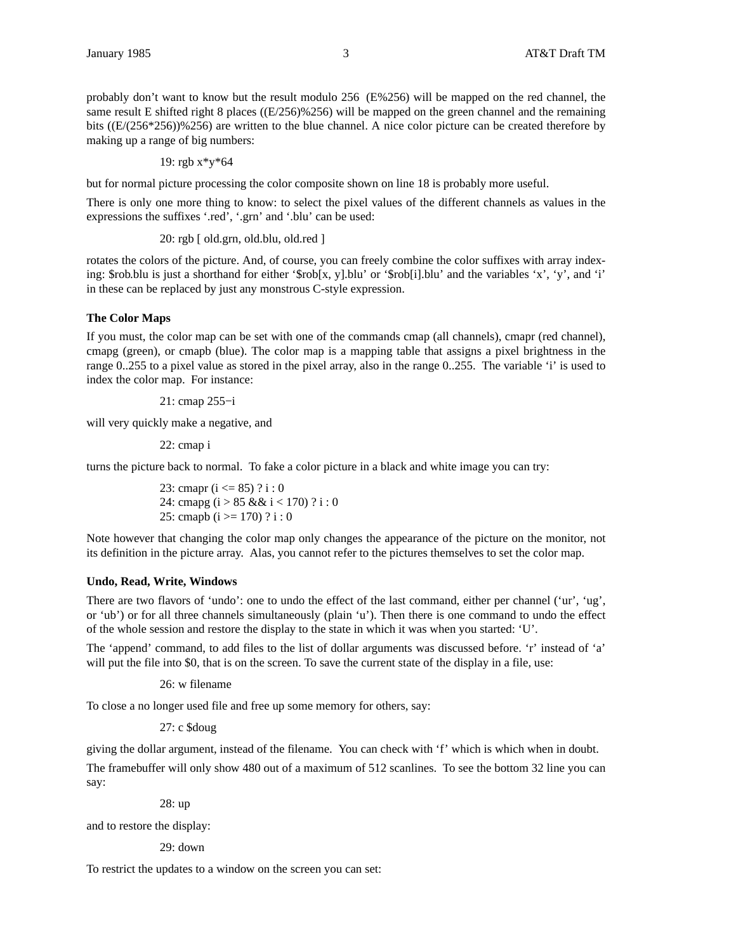probably don't want to know but the result modulo 256 (E%256) will be mapped on the red channel, the same result E shifted right 8 places ((E/256)%256) will be mapped on the green channel and the remaining bits ((E/(256\*256))%256) are written to the blue channel. A nice color picture can be created therefore by making up a range of big numbers:

19: 
$$
rgb x * y * 64
$$

but for normal picture processing the color composite shown on line 18 is probably more useful.

There is only one more thing to know: to select the pixel values of the different channels as values in the expressions the suffixes '.red', '.grn' and '.blu' can be used:

20: rgb [ old.grn, old.blu, old.red ]

rotates the colors of the picture. And, of course, you can freely combine the color suffixes with array indexing: \$rob.blu is just a shorthand for either '\$rob[x, y].blu' or '\$rob[i].blu' and the variables 'x', 'y', and 'i' in these can be replaced by just any monstrous C-style expression.

## **The Color Maps**

If you must, the color map can be set with one of the commands cmap (all channels), cmapr (red channel), cmapg (green), or cmapb (blue). The color map is a mapping table that assigns a pixel brightness in the range 0..255 to a pixel value as stored in the pixel array, also in the range 0..255. The variable 'i' is used to index the color map. For instance:

21: cmap 255−i

will very quickly make a negative, and

22: cmap i

turns the picture back to normal. To fake a color picture in a black and white image you can try:

23: cmapr (i <= 85) ? i : 0 24: cmapg (i > 85 && i < 170) ? i : 0 25: cmapb (i >= 170) ? i : 0

Note however that changing the color map only changes the appearance of the picture on the monitor, not its definition in the picture array. Alas, you cannot refer to the pictures themselves to set the color map.

#### **Undo, Read, Write, Windows**

There are two flavors of 'undo': one to undo the effect of the last command, either per channel ('ur', 'ug', or 'ub') or for all three channels simultaneously (plain 'u'). Then there is one command to undo the effect of the whole session and restore the display to the state in which it was when you started: 'U'.

The 'append' command, to add files to the list of dollar arguments was discussed before. 'r' instead of 'a' will put the file into \$0, that is on the screen. To save the current state of the display in a file, use:

26: w filename

To close a no longer used file and free up some memory for others, say:

27: c \$doug

giving the dollar argument, instead of the filename. You can check with 'f' which is which when in doubt.

The framebuffer will only show 480 out of a maximum of 512 scanlines. To see the bottom 32 line you can say:

28: up

and to restore the display:

29: down

To restrict the updates to a window on the screen you can set: